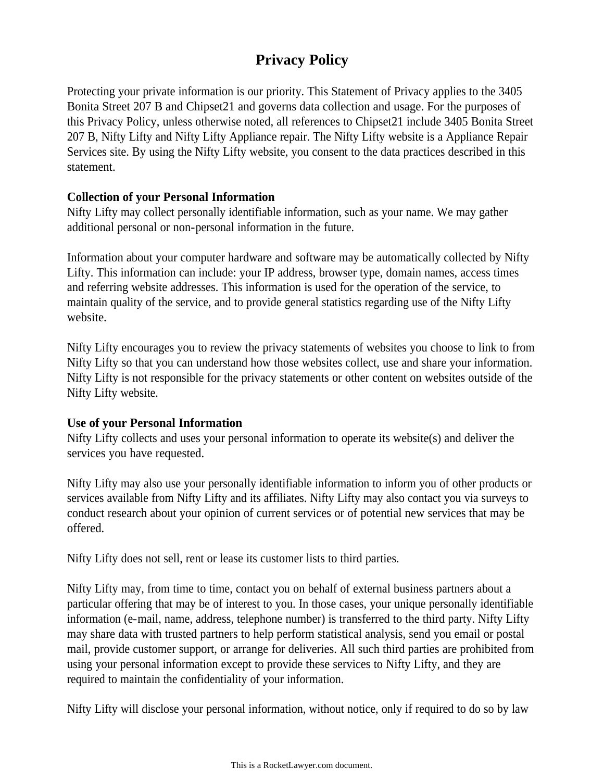# **Privacy Policy**

Protecting your private information is our priority. This Statement of Privacy applies to the 3405 Bonita Street 207 B and Chipset21 and governs data collection and usage. For the purposes of this Privacy Policy, unless otherwise noted, all references to Chipset21 include 3405 Bonita Street 207 B, Nifty Lifty and Nifty Lifty Appliance repair. The Nifty Lifty website is a Appliance Repair Services site. By using the Nifty Lifty website, you consent to the data practices described in this statement.

# **Collection of your Personal Information**

Nifty Lifty may collect personally identifiable information, such as your name. We may gather additional personal or non-personal information in the future.

Information about your computer hardware and software may be automatically collected by Nifty Lifty. This information can include: your IP address, browser type, domain names, access times and referring website addresses. This information is used for the operation of the service, to maintain quality of the service, and to provide general statistics regarding use of the Nifty Lifty website.

Nifty Lifty encourages you to review the privacy statements of websites you choose to link to from Nifty Lifty so that you can understand how those websites collect, use and share your information. Nifty Lifty is not responsible for the privacy statements or other content on websites outside of the Nifty Lifty website.

# **Use of your Personal Information**

Nifty Lifty collects and uses your personal information to operate its website(s) and deliver the services you have requested.

Nifty Lifty may also use your personally identifiable information to inform you of other products or services available from Nifty Lifty and its affiliates. Nifty Lifty may also contact you via surveys to conduct research about your opinion of current services or of potential new services that may be offered.

Nifty Lifty does not sell, rent or lease its customer lists to third parties.

Nifty Lifty may, from time to time, contact you on behalf of external business partners about a particular offering that may be of interest to you. In those cases, your unique personally identifiable information (e-mail, name, address, telephone number) is transferred to the third party. Nifty Lifty may share data with trusted partners to help perform statistical analysis, send you email or postal mail, provide customer support, or arrange for deliveries. All such third parties are prohibited from using your personal information except to provide these services to Nifty Lifty, and they are required to maintain the confidentiality of your information.

Nifty Lifty will disclose your personal information, without notice, only if required to do so by law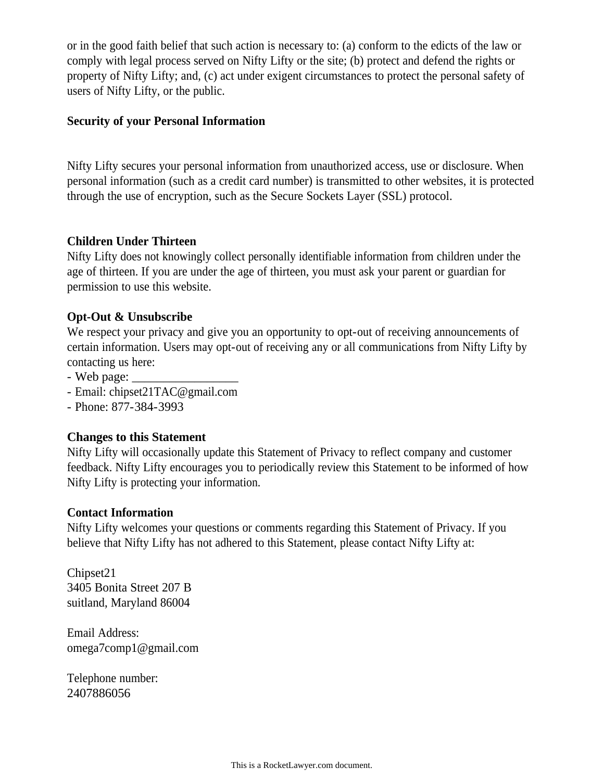or in the good faith belief that such action is necessary to: (a) conform to the edicts of the law or comply with legal process served on Nifty Lifty or the site; (b) protect and defend the rights or property of Nifty Lifty; and, (c) act under exigent circumstances to protect the personal safety of users of Nifty Lifty, or the public.

#### **Security of your Personal Information**

Nifty Lifty secures your personal information from unauthorized access, use or disclosure. When personal information (such as a credit card number) is transmitted to other websites, it is protected through the use of encryption, such as the Secure Sockets Layer (SSL) protocol.

## **Children Under Thirteen**

Nifty Lifty does not knowingly collect personally identifiable information from children under the age of thirteen. If you are under the age of thirteen, you must ask your parent or guardian for permission to use this website.

## **Opt-Out & Unsubscribe**

We respect your privacy and give you an opportunity to opt-out of receiving announcements of certain information. Users may opt-out of receiving any or all communications from Nifty Lifty by contacting us here:

- Web page: \_\_\_\_\_\_\_\_\_\_\_\_\_\_\_\_\_
- Email: chipset21TAC@gmail.com
- Phone: 877-384-3993

#### **Changes to this Statement**

Nifty Lifty will occasionally update this Statement of Privacy to reflect company and customer feedback. Nifty Lifty encourages you to periodically review this Statement to be informed of how Nifty Lifty is protecting your information.

#### **Contact Information**

Nifty Lifty welcomes your questions or comments regarding this Statement of Privacy. If you believe that Nifty Lifty has not adhered to this Statement, please contact Nifty Lifty at:

Chipset21 3405 Bonita Street 207 B suitland, Maryland 86004

Email Address: omega7comp1@gmail.com

Telephone number: 2407886056